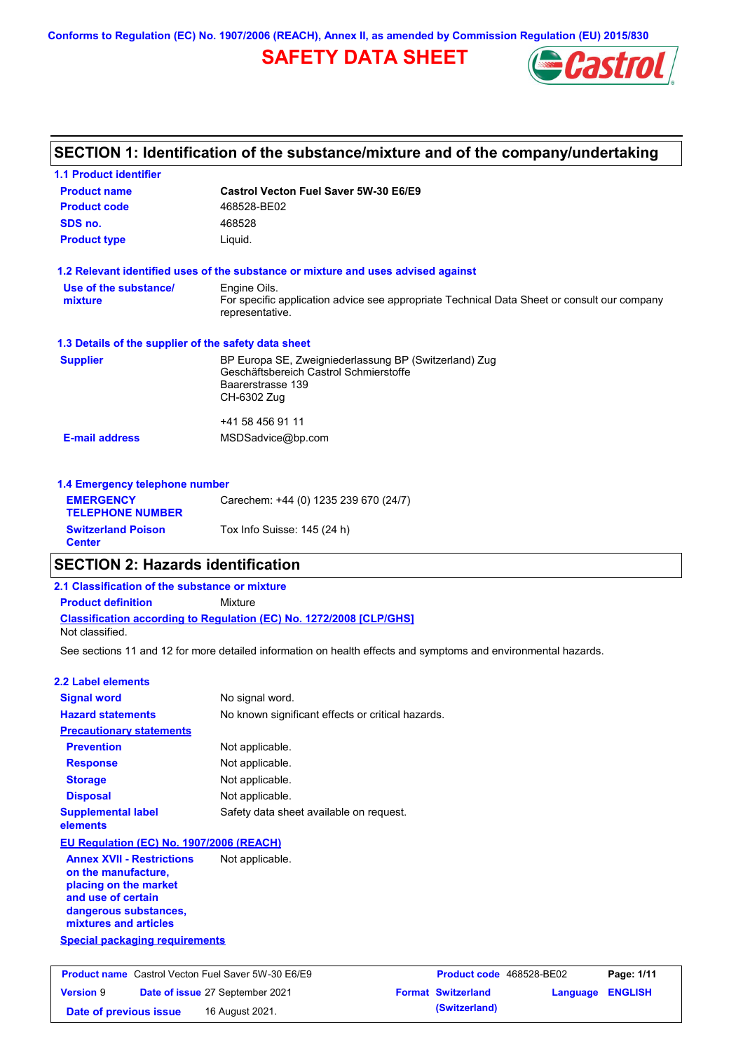**Conforms to Regulation (EC) No. 1907/2006 (REACH), Annex II, as amended by Commission Regulation (EU) 2015/830**

# **SAFETY DATA SHEET**



|                                                      | SECTION 1: Identification of the substance/mixture and of the company/undertaking                              |
|------------------------------------------------------|----------------------------------------------------------------------------------------------------------------|
| <b>1.1 Product identifier</b>                        |                                                                                                                |
| <b>Product name</b>                                  | Castrol Vecton Fuel Saver 5W-30 E6/E9                                                                          |
| <b>Product code</b>                                  | 468528-BE02                                                                                                    |
| SDS no.                                              | 468528                                                                                                         |
| <b>Product type</b>                                  | Liquid.                                                                                                        |
|                                                      | 1.2 Relevant identified uses of the substance or mixture and uses advised against                              |
| Use of the substance/                                | Engine Oils.                                                                                                   |
| mixture                                              | For specific application advice see appropriate Technical Data Sheet or consult our company<br>representative. |
| 1.3 Details of the supplier of the safety data sheet |                                                                                                                |
| <b>Supplier</b>                                      | BP Europa SE, Zweigniederlassung BP (Switzerland) Zug                                                          |
|                                                      | Geschäftsbereich Castrol Schmierstoffe<br>Baarerstrasse 139                                                    |
|                                                      | CH-6302 Zug                                                                                                    |
|                                                      | +41 58 456 91 11                                                                                               |
| <b>E-mail address</b>                                | MSDSadvice@bp.com                                                                                              |
| 1.4 Emergency telephone number                       |                                                                                                                |
| <b>EMERGENCY</b>                                     | Carechem: +44 (0) 1235 239 670 (24/7)                                                                          |
| <b>TELEPHONE NUMBER</b>                              |                                                                                                                |
| <b>Switzerland Poison</b>                            | Tox Info Suisse: 145 (24 h)                                                                                    |

### **SECTION 2: Hazards identification**

**Classification according to Regulation (EC) No. 1272/2008 [CLP/GHS] 2.1 Classification of the substance or mixture Product definition** Mixture Not classified.

See sections 11 and 12 for more detailed information on health effects and symptoms and environmental hazards.

### **2.2 Label elements**

**Center**

| <b>Signal word</b>                                                                                                                                       | No signal word.                                   |
|----------------------------------------------------------------------------------------------------------------------------------------------------------|---------------------------------------------------|
| <b>Hazard statements</b>                                                                                                                                 | No known significant effects or critical hazards. |
| <b>Precautionary statements</b>                                                                                                                          |                                                   |
| <b>Prevention</b>                                                                                                                                        | Not applicable.                                   |
| <b>Response</b>                                                                                                                                          | Not applicable.                                   |
| <b>Storage</b>                                                                                                                                           | Not applicable.                                   |
| <b>Disposal</b>                                                                                                                                          | Not applicable.                                   |
| <b>Supplemental label</b><br>elements                                                                                                                    | Safety data sheet available on request.           |
| EU Regulation (EC) No. 1907/2006 (REACH)                                                                                                                 |                                                   |
| <b>Annex XVII - Restrictions</b><br>on the manufacture,<br>placing on the market<br>and use of certain<br>dangerous substances,<br>mixtures and articles | Not applicable.                                   |
| Special packaging requirements                                                                                                                           |                                                   |

| <b>Product name</b> Castrol Vecton Fuel Saver 5W-30 E6/E9 |  | <b>Product code</b> 468528-BE02        |  | Page: 1/11                |                  |  |
|-----------------------------------------------------------|--|----------------------------------------|--|---------------------------|------------------|--|
| <b>Version 9</b>                                          |  | <b>Date of issue 27 September 2021</b> |  | <b>Format Switzerland</b> | Language ENGLISH |  |
| Date of previous issue                                    |  | 16 August 2021.                        |  | (Switzerland)             |                  |  |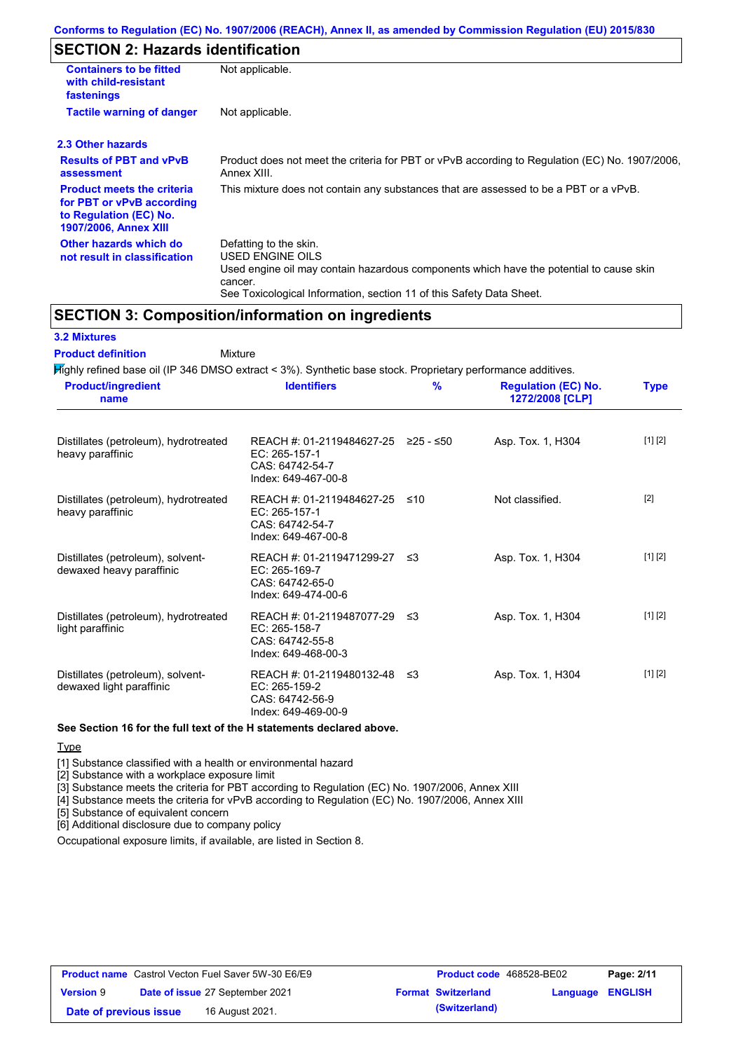# **SECTION 2: Hazards identification**

| <b>Containers to be fitted</b><br>with child-resistant<br>fastenings                                                     | Not applicable.                                                                                                                                                                                                          |
|--------------------------------------------------------------------------------------------------------------------------|--------------------------------------------------------------------------------------------------------------------------------------------------------------------------------------------------------------------------|
| <b>Tactile warning of danger</b>                                                                                         | Not applicable.                                                                                                                                                                                                          |
| 2.3 Other hazards                                                                                                        |                                                                                                                                                                                                                          |
| <b>Results of PBT and vPvB</b><br>assessment                                                                             | Product does not meet the criteria for PBT or vPvB according to Regulation (EC) No. 1907/2006,<br>Annex XIII.                                                                                                            |
| <b>Product meets the criteria</b><br>for PBT or vPvB according<br>to Regulation (EC) No.<br><b>1907/2006, Annex XIII</b> | This mixture does not contain any substances that are assessed to be a PBT or a vPvB.                                                                                                                                    |
| Other hazards which do<br>not result in classification                                                                   | Defatting to the skin.<br>USED ENGINE OILS<br>Used engine oil may contain hazardous components which have the potential to cause skin<br>cancer.<br>See Toxicological Information, section 11 of this Safety Data Sheet. |

### **SECTION 3: Composition/information on ingredients**

### **3.2 Mixtures**

Highly refined base oil (IP 346 DMSO extract < 3%). Synthetic base stock. Proprietary performance additives. Distillates (petroleum), hydrotreated heavy paraffinic REACH #: 01-2119484627-25 ≥25 - ≤50 EC: 265-157-1 CAS: 64742-54-7 Index: 649-467-00-8 Asp. Tox. 1, H304 [1] [2] Distillates (petroleum), hydrotreated heavy paraffinic REACH #: 01-2119484627-25 EC: 265-157-1 CAS: 64742-54-7 Index: 649-467-00-8 Not classified. [2] Distillates (petroleum), solventdewaxed heavy paraffinic REACH #: 01-2119471299-27 EC: 265-169-7 CAS: 64742-65-0 Index: 649-474-00-6 Asp. Tox. 1, H304 [1] [2] Distillates (petroleum), hydrotreated light paraffinic REACH #: 01-2119487077-29 EC: 265-158-7 Asp. Tox. 1, H304 [1] [2] **Product/ingredient name % Regulation (EC) No. Identifiers Type 1272/2008 [CLP]** Mixture **Product definition**

#### CAS: 64742-55-8 Index: 649-468-00-3 Distillates (petroleum), solventdewaxed light paraffinic REACH #: 01-2119480132-48 EC: 265-159-2 CAS: 64742-56-9 Index: 649-469-00-9 Asp. Tox. 1, H304 [1] [2]

### **See Section 16 for the full text of the H statements declared above.**

Type

[1] Substance classified with a health or environmental hazard

[2] Substance with a workplace exposure limit

[3] Substance meets the criteria for PBT according to Regulation (EC) No. 1907/2006, Annex XIII

[4] Substance meets the criteria for vPvB according to Regulation (EC) No. 1907/2006, Annex XIII

[5] Substance of equivalent concern

[6] Additional disclosure due to company policy

Occupational exposure limits, if available, are listed in Section 8.

| <b>Product name</b> Castrol Vecton Fuel Saver 5W-30 E6/E9 |  | <b>Product code</b> 468528-BE02        |  | Page: 2/11                |                         |  |
|-----------------------------------------------------------|--|----------------------------------------|--|---------------------------|-------------------------|--|
| <b>Version 9</b>                                          |  | <b>Date of issue 27 September 2021</b> |  | <b>Format Switzerland</b> | <b>Language ENGLISH</b> |  |
| Date of previous issue                                    |  | 16 August 2021.                        |  | (Switzerland)             |                         |  |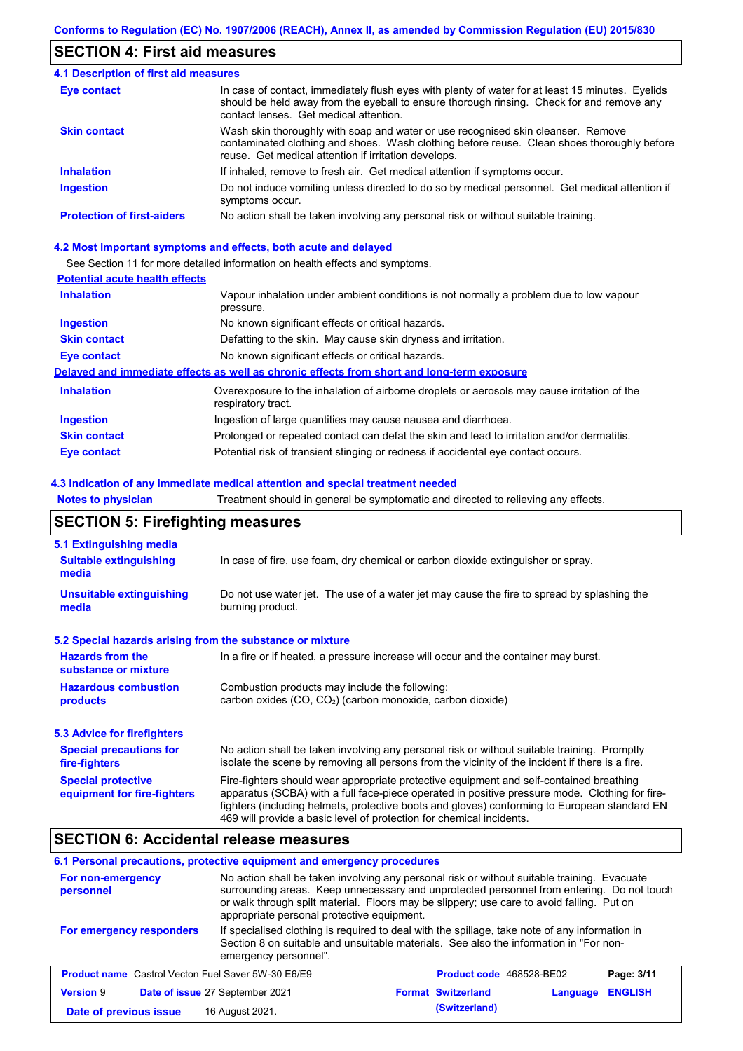# **SECTION 4: First aid measures**

#### Do not induce vomiting unless directed to do so by medical personnel. Get medical attention if symptoms occur. In case of contact, immediately flush eyes with plenty of water for at least 15 minutes. Eyelids should be held away from the eyeball to ensure thorough rinsing. Check for and remove any contact lenses. Get medical attention. **4.1 Description of first aid measures** If inhaled, remove to fresh air. Get medical attention if symptoms occur. **Ingestion Inhalation Eye contact Protection of first-aiders** No action shall be taken involving any personal risk or without suitable training. **Skin contact** Wash skin thoroughly with soap and water or use recognised skin cleanser. Remove contaminated clothing and shoes. Wash clothing before reuse. Clean shoes thoroughly before reuse. Get medical attention if irritation develops.

### **4.2 Most important symptoms and effects, both acute and delayed**

See Section 11 for more detailed information on health effects and symptoms.

### **Potential acute health effects**

| <b>Inhalation</b>   | Vapour inhalation under ambient conditions is not normally a problem due to low vapour                            |
|---------------------|-------------------------------------------------------------------------------------------------------------------|
|                     | pressure.                                                                                                         |
| <b>Ingestion</b>    | No known significant effects or critical hazards.                                                                 |
| <b>Skin contact</b> | Defatting to the skin. May cause skin dryness and irritation.                                                     |
| Eye contact         | No known significant effects or critical hazards.                                                                 |
|                     | Delayed and immediate effects as well as chronic effects from short and long-term exposure                        |
| <b>Inhalation</b>   | Overexposure to the inhalation of airborne droplets or aerosols may cause irritation of the<br>respiratory tract. |
| <b>Ingestion</b>    | Ingestion of large quantities may cause nausea and diarrhoea.                                                     |
| <b>Skin contact</b> | Prolonged or repeated contact can defat the skin and lead to irritation and/or dermatitis.                        |
| Eye contact         | Potential risk of transient stinging or redness if accidental eye contact occurs.                                 |

### **4.3 Indication of any immediate medical attention and special treatment needed**

**Notes to physician** Treatment should in general be symptomatic and directed to relieving any effects.

### **SECTION 5: Firefighting measures**

| 5.1 Extinguishing media                                   |                                                                                                                                                                                                                                                                                                                                                                   |
|-----------------------------------------------------------|-------------------------------------------------------------------------------------------------------------------------------------------------------------------------------------------------------------------------------------------------------------------------------------------------------------------------------------------------------------------|
| <b>Suitable extinguishing</b><br>media                    | In case of fire, use foam, dry chemical or carbon dioxide extinguisher or spray.                                                                                                                                                                                                                                                                                  |
| <b>Unsuitable extinguishing</b><br>media                  | Do not use water jet. The use of a water jet may cause the fire to spread by splashing the<br>burning product.                                                                                                                                                                                                                                                    |
| 5.2 Special hazards arising from the substance or mixture |                                                                                                                                                                                                                                                                                                                                                                   |
| <b>Hazards from the</b><br>substance or mixture           | In a fire or if heated, a pressure increase will occur and the container may burst.                                                                                                                                                                                                                                                                               |
| <b>Hazardous combustion</b><br>products                   | Combustion products may include the following:<br>carbon oxides (CO, CO <sub>2</sub> ) (carbon monoxide, carbon dioxide)                                                                                                                                                                                                                                          |
| 5.3 Advice for firefighters                               |                                                                                                                                                                                                                                                                                                                                                                   |
| <b>Special precautions for</b><br>fire-fighters           | No action shall be taken involving any personal risk or without suitable training. Promptly<br>isolate the scene by removing all persons from the vicinity of the incident if there is a fire.                                                                                                                                                                    |
| <b>Special protective</b><br>equipment for fire-fighters  | Fire-fighters should wear appropriate protective equipment and self-contained breathing<br>apparatus (SCBA) with a full face-piece operated in positive pressure mode. Clothing for fire-<br>fighters (including helmets, protective boots and gloves) conforming to European standard EN<br>469 will provide a basic level of protection for chemical incidents. |

### **SECTION 6: Accidental release measures**

### **6.1 Personal precautions, protective equipment and emergency procedures**

| For non-emergency<br>personnel                                                                                                                                                                                                               | appropriate personal protective equipment. | No action shall be taken involving any personal risk or without suitable training. Evacuate<br>surrounding areas. Keep unnecessary and unprotected personnel from entering. Do not touch<br>or walk through spilt material. Floors may be slippery; use care to avoid falling. Put on |               |                                 |                |  |
|----------------------------------------------------------------------------------------------------------------------------------------------------------------------------------------------------------------------------------------------|--------------------------------------------|---------------------------------------------------------------------------------------------------------------------------------------------------------------------------------------------------------------------------------------------------------------------------------------|---------------|---------------------------------|----------------|--|
| If specialised clothing is required to deal with the spillage, take note of any information in<br>For emergency responders<br>Section 8 on suitable and unsuitable materials. See also the information in "For non-<br>emergency personnel". |                                            |                                                                                                                                                                                                                                                                                       |               |                                 |                |  |
| <b>Product name</b> Castrol Vecton Fuel Saver 5W-30 E6/E9                                                                                                                                                                                    |                                            |                                                                                                                                                                                                                                                                                       |               | <b>Product code</b> 468528-BE02 | Page: 3/11     |  |
| <b>Version 9</b>                                                                                                                                                                                                                             | Date of issue 27 September 2021            | <b>Format Switzerland</b>                                                                                                                                                                                                                                                             |               | Language                        | <b>ENGLISH</b> |  |
| Date of previous issue                                                                                                                                                                                                                       | 16 August 2021.                            |                                                                                                                                                                                                                                                                                       | (Switzerland) |                                 |                |  |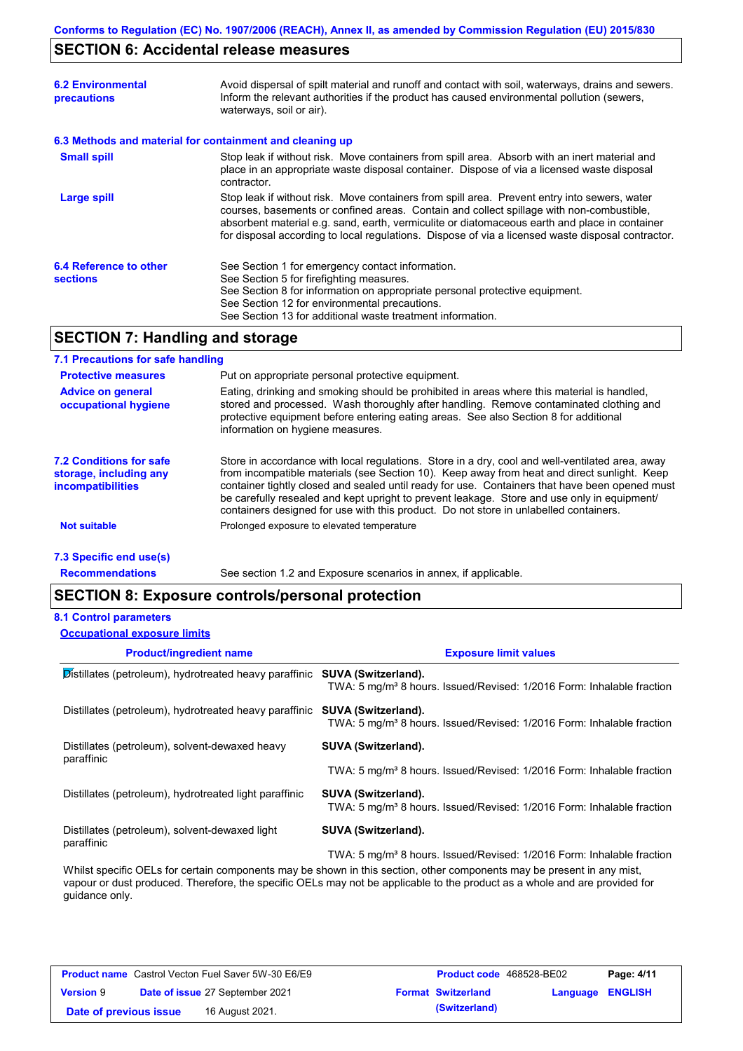# **SECTION 6: Accidental release measures**

| <b>6.2 Environmental</b><br>precautions                  | Avoid dispersal of spilt material and runoff and contact with soil, waterways, drains and sewers.<br>Inform the relevant authorities if the product has caused environmental pollution (sewers,<br>waterways, soil or air).                                                                                                                                                                    |
|----------------------------------------------------------|------------------------------------------------------------------------------------------------------------------------------------------------------------------------------------------------------------------------------------------------------------------------------------------------------------------------------------------------------------------------------------------------|
| 6.3 Methods and material for containment and cleaning up |                                                                                                                                                                                                                                                                                                                                                                                                |
| <b>Small spill</b>                                       | Stop leak if without risk. Move containers from spill area. Absorb with an inert material and<br>place in an appropriate waste disposal container. Dispose of via a licensed waste disposal<br>contractor.                                                                                                                                                                                     |
| Large spill                                              | Stop leak if without risk. Move containers from spill area. Prevent entry into sewers, water<br>courses, basements or confined areas. Contain and collect spillage with non-combustible,<br>absorbent material e.g. sand, earth, vermiculite or diatomaceous earth and place in container<br>for disposal according to local regulations. Dispose of via a licensed waste disposal contractor. |
| 6.4 Reference to other<br><b>sections</b>                | See Section 1 for emergency contact information.<br>See Section 5 for firefighting measures.<br>See Section 8 for information on appropriate personal protective equipment.<br>See Section 12 for environmental precautions.<br>See Section 13 for additional waste treatment information.                                                                                                     |

# **SECTION 7: Handling and storage**

### **7.1 Precautions for safe handling**

| <b>Protective measures</b>                                                           | Put on appropriate personal protective equipment.                                                                                                                                                                                                                                                                                                                                                                                                                                        |
|--------------------------------------------------------------------------------------|------------------------------------------------------------------------------------------------------------------------------------------------------------------------------------------------------------------------------------------------------------------------------------------------------------------------------------------------------------------------------------------------------------------------------------------------------------------------------------------|
| <b>Advice on general</b><br>occupational hygiene                                     | Eating, drinking and smoking should be prohibited in areas where this material is handled,<br>stored and processed. Wash thoroughly after handling. Remove contaminated clothing and<br>protective equipment before entering eating areas. See also Section 8 for additional<br>information on hygiene measures.                                                                                                                                                                         |
| <b>7.2 Conditions for safe</b><br>storage, including any<br><i>incompatibilities</i> | Store in accordance with local requlations. Store in a dry, cool and well-ventilated area, away<br>from incompatible materials (see Section 10). Keep away from heat and direct sunlight. Keep<br>container tightly closed and sealed until ready for use. Containers that have been opened must<br>be carefully resealed and kept upright to prevent leakage. Store and use only in equipment/<br>containers designed for use with this product. Do not store in unlabelled containers. |
| <b>Not suitable</b>                                                                  | Prolonged exposure to elevated temperature                                                                                                                                                                                                                                                                                                                                                                                                                                               |
| 7.3 Specific end use(s)                                                              |                                                                                                                                                                                                                                                                                                                                                                                                                                                                                          |

**Recommendations**

See section 1.2 and Exposure scenarios in annex, if applicable.

# **SECTION 8: Exposure controls/personal protection**

### **8.1 Control parameters**

| <b>Occupational exposure limits</b>                          |                                                                                                                         |
|--------------------------------------------------------------|-------------------------------------------------------------------------------------------------------------------------|
| <b>Product/ingredient name</b>                               | <b>Exposure limit values</b>                                                                                            |
| Distillates (petroleum), hydrotreated heavy paraffinic       | <b>SUVA (Switzerland).</b><br>TWA: 5 mg/m <sup>3</sup> 8 hours. Issued/Revised: 1/2016 Form: Inhalable fraction         |
| Distillates (petroleum), hydrotreated heavy paraffinic       | SUVA (Switzerland).<br>TWA: 5 mg/m <sup>3</sup> 8 hours. Issued/Revised: 1/2016 Form: Inhalable fraction                |
| Distillates (petroleum), solvent-dewaxed heavy               | <b>SUVA (Switzerland).</b>                                                                                              |
| paraffinic                                                   | TWA: 5 mg/m <sup>3</sup> 8 hours. Issued/Revised: 1/2016 Form: Inhalable fraction                                       |
| Distillates (petroleum), hydrotreated light paraffinic       | SUVA (Switzerland).<br>TWA: 5 mg/m <sup>3</sup> 8 hours. Issued/Revised: 1/2016 Form: Inhalable fraction                |
| Distillates (petroleum), solvent-dewaxed light<br>paraffinic | <b>SUVA (Switzerland).</b>                                                                                              |
|                                                              | TWA: 5 mg/m <sup>3</sup> 8 hours. Issued/Revised: 1/2016 Form: Inhalable fraction                                       |
|                                                              | Whilst specific OFI s for certain components may be shown in this section, other components may be present in any mist. |

Whilst specific OELs for certain components may be shown in this section, other components may be present in any mist, vapour or dust produced. Therefore, the specific OELs may not be applicable to the product as a whole and are provided for guidance only.

| <b>Product name</b> Castrol Vecton Fuel Saver 5W-30 E6/E9 |  | <b>Product code</b> 468528-BE02 |  | Page: 4/11                |                         |  |
|-----------------------------------------------------------|--|---------------------------------|--|---------------------------|-------------------------|--|
| <b>Version 9</b>                                          |  | Date of issue 27 September 2021 |  | <b>Format Switzerland</b> | <b>Language ENGLISH</b> |  |
| Date of previous issue                                    |  | 16 August 2021.                 |  | (Switzerland)             |                         |  |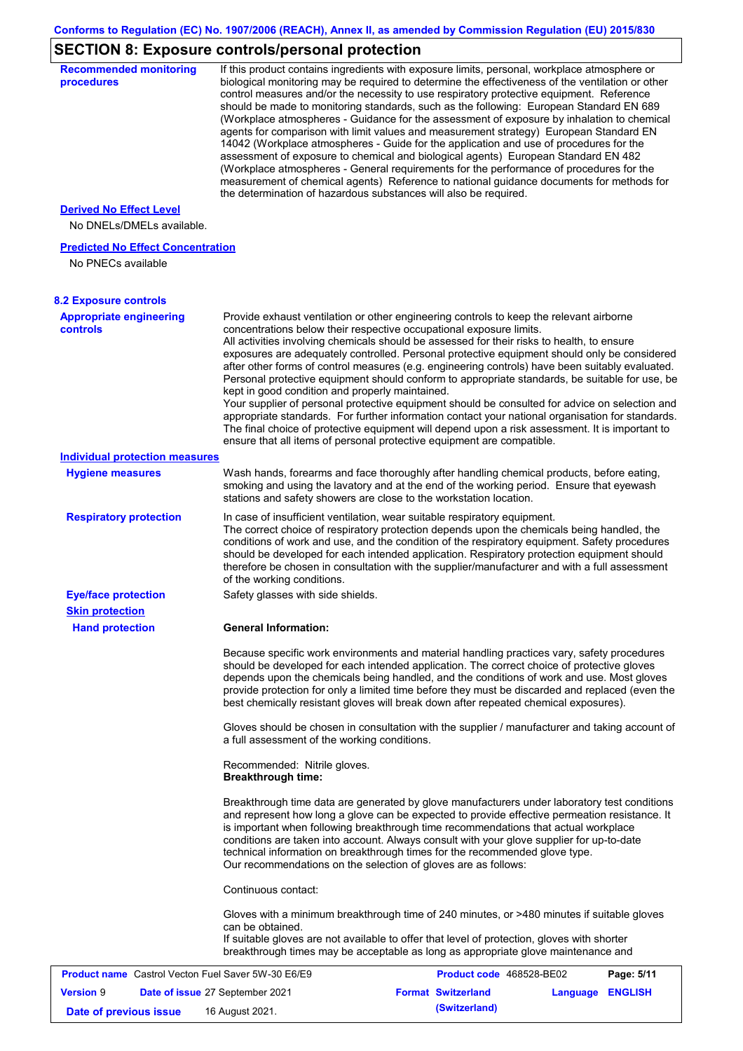# **SECTION 8: Exposure controls/personal protection**

| <b>Recommended monitoring</b><br>procedures                 |                                                           | If this product contains ingredients with exposure limits, personal, workplace atmosphere or<br>biological monitoring may be required to determine the effectiveness of the ventilation or other<br>control measures and/or the necessity to use respiratory protective equipment. Reference<br>should be made to monitoring standards, such as the following: European Standard EN 689<br>(Workplace atmospheres - Guidance for the assessment of exposure by inhalation to chemical<br>agents for comparison with limit values and measurement strategy) European Standard EN<br>14042 (Workplace atmospheres - Guide for the application and use of procedures for the<br>assessment of exposure to chemical and biological agents) European Standard EN 482<br>(Workplace atmospheres - General requirements for the performance of procedures for the<br>measurement of chemical agents) Reference to national guidance documents for methods for<br>the determination of hazardous substances will also be required. |                  |            |
|-------------------------------------------------------------|-----------------------------------------------------------|----------------------------------------------------------------------------------------------------------------------------------------------------------------------------------------------------------------------------------------------------------------------------------------------------------------------------------------------------------------------------------------------------------------------------------------------------------------------------------------------------------------------------------------------------------------------------------------------------------------------------------------------------------------------------------------------------------------------------------------------------------------------------------------------------------------------------------------------------------------------------------------------------------------------------------------------------------------------------------------------------------------------------|------------------|------------|
| <b>Derived No Effect Level</b><br>No DNELs/DMELs available. |                                                           |                                                                                                                                                                                                                                                                                                                                                                                                                                                                                                                                                                                                                                                                                                                                                                                                                                                                                                                                                                                                                            |                  |            |
| <b>Predicted No Effect Concentration</b>                    |                                                           |                                                                                                                                                                                                                                                                                                                                                                                                                                                                                                                                                                                                                                                                                                                                                                                                                                                                                                                                                                                                                            |                  |            |
| No PNECs available                                          |                                                           |                                                                                                                                                                                                                                                                                                                                                                                                                                                                                                                                                                                                                                                                                                                                                                                                                                                                                                                                                                                                                            |                  |            |
| <b>8.2 Exposure controls</b>                                |                                                           |                                                                                                                                                                                                                                                                                                                                                                                                                                                                                                                                                                                                                                                                                                                                                                                                                                                                                                                                                                                                                            |                  |            |
| <b>Appropriate engineering</b>                              |                                                           | Provide exhaust ventilation or other engineering controls to keep the relevant airborne                                                                                                                                                                                                                                                                                                                                                                                                                                                                                                                                                                                                                                                                                                                                                                                                                                                                                                                                    |                  |            |
| controls                                                    | kept in good condition and properly maintained.           | concentrations below their respective occupational exposure limits.<br>All activities involving chemicals should be assessed for their risks to health, to ensure<br>exposures are adequately controlled. Personal protective equipment should only be considered<br>after other forms of control measures (e.g. engineering controls) have been suitably evaluated.<br>Personal protective equipment should conform to appropriate standards, be suitable for use, be<br>Your supplier of personal protective equipment should be consulted for advice on selection and<br>appropriate standards. For further information contact your national organisation for standards.<br>The final choice of protective equipment will depend upon a risk assessment. It is important to<br>ensure that all items of personal protective equipment are compatible.                                                                                                                                                                  |                  |            |
| <b>Individual protection measures</b>                       |                                                           |                                                                                                                                                                                                                                                                                                                                                                                                                                                                                                                                                                                                                                                                                                                                                                                                                                                                                                                                                                                                                            |                  |            |
| <b>Hygiene measures</b>                                     |                                                           | Wash hands, forearms and face thoroughly after handling chemical products, before eating,<br>smoking and using the lavatory and at the end of the working period. Ensure that eyewash<br>stations and safety showers are close to the workstation location.                                                                                                                                                                                                                                                                                                                                                                                                                                                                                                                                                                                                                                                                                                                                                                |                  |            |
| <b>Respiratory protection</b>                               | of the working conditions.                                | In case of insufficient ventilation, wear suitable respiratory equipment.<br>The correct choice of respiratory protection depends upon the chemicals being handled, the<br>conditions of work and use, and the condition of the respiratory equipment. Safety procedures<br>should be developed for each intended application. Respiratory protection equipment should<br>therefore be chosen in consultation with the supplier/manufacturer and with a full assessment                                                                                                                                                                                                                                                                                                                                                                                                                                                                                                                                                    |                  |            |
| <b>Eye/face protection</b><br><b>Skin protection</b>        | Safety glasses with side shields.                         |                                                                                                                                                                                                                                                                                                                                                                                                                                                                                                                                                                                                                                                                                                                                                                                                                                                                                                                                                                                                                            |                  |            |
| <b>Hand protection</b>                                      | <b>General Information:</b>                               |                                                                                                                                                                                                                                                                                                                                                                                                                                                                                                                                                                                                                                                                                                                                                                                                                                                                                                                                                                                                                            |                  |            |
|                                                             |                                                           | Because specific work environments and material handling practices vary, safety procedures<br>should be developed for each intended application. The correct choice of protective gloves<br>depends upon the chemicals being handled, and the conditions of work and use. Most gloves<br>provide protection for only a limited time before they must be discarded and replaced (even the<br>best chemically resistant gloves will break down after repeated chemical exposures).                                                                                                                                                                                                                                                                                                                                                                                                                                                                                                                                           |                  |            |
|                                                             | a full assessment of the working conditions.              | Gloves should be chosen in consultation with the supplier / manufacturer and taking account of                                                                                                                                                                                                                                                                                                                                                                                                                                                                                                                                                                                                                                                                                                                                                                                                                                                                                                                             |                  |            |
|                                                             | Recommended: Nitrile gloves.<br><b>Breakthrough time:</b> |                                                                                                                                                                                                                                                                                                                                                                                                                                                                                                                                                                                                                                                                                                                                                                                                                                                                                                                                                                                                                            |                  |            |
|                                                             |                                                           | Breakthrough time data are generated by glove manufacturers under laboratory test conditions<br>and represent how long a glove can be expected to provide effective permeation resistance. It<br>is important when following breakthrough time recommendations that actual workplace<br>conditions are taken into account. Always consult with your glove supplier for up-to-date<br>technical information on breakthrough times for the recommended glove type.<br>Our recommendations on the selection of gloves are as follows:                                                                                                                                                                                                                                                                                                                                                                                                                                                                                         |                  |            |
|                                                             | Continuous contact:                                       |                                                                                                                                                                                                                                                                                                                                                                                                                                                                                                                                                                                                                                                                                                                                                                                                                                                                                                                                                                                                                            |                  |            |
|                                                             | can be obtained.                                          | Gloves with a minimum breakthrough time of 240 minutes, or >480 minutes if suitable gloves<br>If suitable gloves are not available to offer that level of protection, gloves with shorter<br>breakthrough times may be acceptable as long as appropriate glove maintenance and                                                                                                                                                                                                                                                                                                                                                                                                                                                                                                                                                                                                                                                                                                                                             |                  |            |
| <b>Product name</b> Castrol Vecton Fuel Saver 5W-30 E6/E9   |                                                           | Product code 468528-BE02                                                                                                                                                                                                                                                                                                                                                                                                                                                                                                                                                                                                                                                                                                                                                                                                                                                                                                                                                                                                   |                  | Page: 5/11 |
| <b>Version 9</b>                                            | Date of issue 27 September 2021                           | <b>Format Switzerland</b>                                                                                                                                                                                                                                                                                                                                                                                                                                                                                                                                                                                                                                                                                                                                                                                                                                                                                                                                                                                                  | Language ENGLISH |            |
| Date of previous issue                                      | 16 August 2021.                                           | (Switzerland)                                                                                                                                                                                                                                                                                                                                                                                                                                                                                                                                                                                                                                                                                                                                                                                                                                                                                                                                                                                                              |                  |            |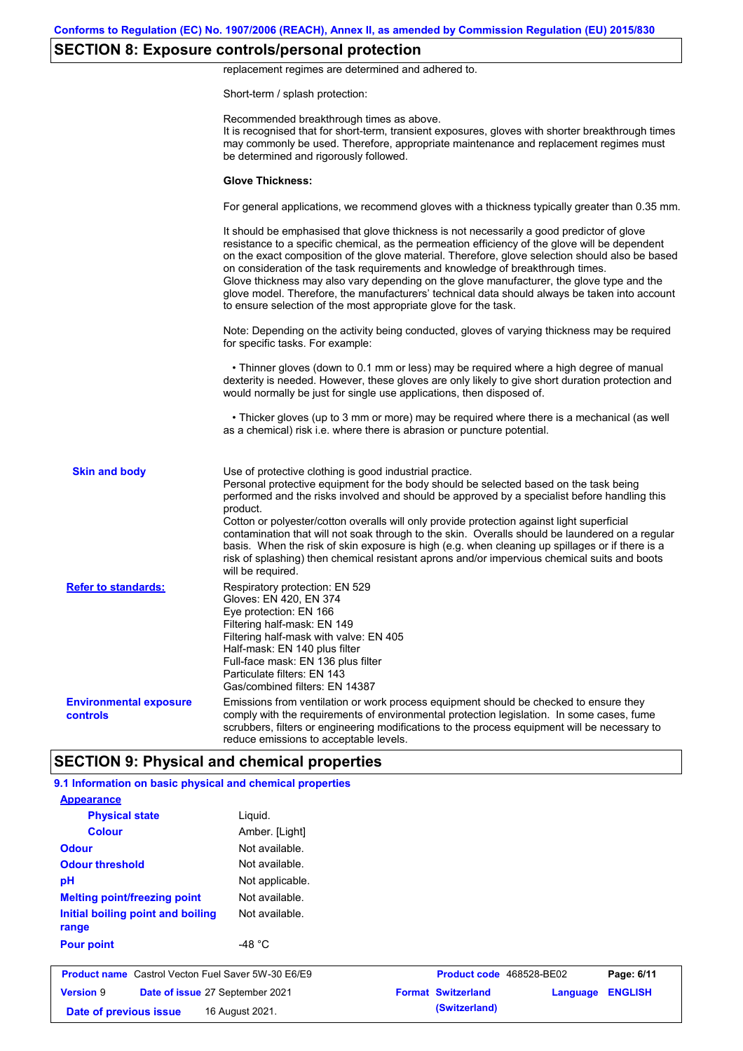# **SECTION 8: Exposure controls/personal protection**

replacement regimes are determined and adhered to.

Short-term / splash protection:

|                                                    | Recommended breakthrough times as above.<br>It is recognised that for short-term, transient exposures, gloves with shorter breakthrough times<br>may commonly be used. Therefore, appropriate maintenance and replacement regimes must<br>be determined and rigorously followed.<br><b>Glove Thickness:</b><br>For general applications, we recommend gloves with a thickness typically greater than 0.35 mm.                                                                                                                                                                                                                                                    |
|----------------------------------------------------|------------------------------------------------------------------------------------------------------------------------------------------------------------------------------------------------------------------------------------------------------------------------------------------------------------------------------------------------------------------------------------------------------------------------------------------------------------------------------------------------------------------------------------------------------------------------------------------------------------------------------------------------------------------|
|                                                    |                                                                                                                                                                                                                                                                                                                                                                                                                                                                                                                                                                                                                                                                  |
|                                                    |                                                                                                                                                                                                                                                                                                                                                                                                                                                                                                                                                                                                                                                                  |
|                                                    |                                                                                                                                                                                                                                                                                                                                                                                                                                                                                                                                                                                                                                                                  |
|                                                    | It should be emphasised that glove thickness is not necessarily a good predictor of glove<br>resistance to a specific chemical, as the permeation efficiency of the glove will be dependent<br>on the exact composition of the glove material. Therefore, glove selection should also be based<br>on consideration of the task requirements and knowledge of breakthrough times.<br>Glove thickness may also vary depending on the glove manufacturer, the glove type and the<br>glove model. Therefore, the manufacturers' technical data should always be taken into account<br>to ensure selection of the most appropriate glove for the task.                |
|                                                    | Note: Depending on the activity being conducted, gloves of varying thickness may be required<br>for specific tasks. For example:                                                                                                                                                                                                                                                                                                                                                                                                                                                                                                                                 |
|                                                    | • Thinner gloves (down to 0.1 mm or less) may be required where a high degree of manual<br>dexterity is needed. However, these gloves are only likely to give short duration protection and<br>would normally be just for single use applications, then disposed of.                                                                                                                                                                                                                                                                                                                                                                                             |
|                                                    | • Thicker gloves (up to 3 mm or more) may be required where there is a mechanical (as well<br>as a chemical) risk i.e. where there is abrasion or puncture potential.                                                                                                                                                                                                                                                                                                                                                                                                                                                                                            |
| <b>Skin and body</b>                               | Use of protective clothing is good industrial practice.<br>Personal protective equipment for the body should be selected based on the task being<br>performed and the risks involved and should be approved by a specialist before handling this<br>product.<br>Cotton or polyester/cotton overalls will only provide protection against light superficial<br>contamination that will not soak through to the skin. Overalls should be laundered on a regular<br>basis. When the risk of skin exposure is high (e.g. when cleaning up spillages or if there is a<br>risk of splashing) then chemical resistant aprons and/or impervious chemical suits and boots |
| <b>Refer to standards:</b>                         | will be required.<br>Respiratory protection: EN 529<br>Gloves: EN 420, EN 374<br>Eye protection: EN 166<br>Filtering half-mask: EN 149<br>Filtering half-mask with valve: EN 405<br>Half-mask: EN 140 plus filter<br>Full-face mask: EN 136 plus filter<br>Particulate filters: EN 143<br>Gas/combined filters: EN 14387                                                                                                                                                                                                                                                                                                                                         |
| <b>Environmental exposure</b><br>controls          | Emissions from ventilation or work process equipment should be checked to ensure they<br>comply with the requirements of environmental protection legislation. In some cases, fume<br>scrubbers, filters or engineering modifications to the process equipment will be necessary to<br>reduce emissions to acceptable levels.                                                                                                                                                                                                                                                                                                                                    |
| <b>SECTION 9: Physical and chemical properties</b> |                                                                                                                                                                                                                                                                                                                                                                                                                                                                                                                                                                                                                                                                  |

| <b>Appearance</b>                                         |                  |                           |          |                |
|-----------------------------------------------------------|------------------|---------------------------|----------|----------------|
| <b>Physical state</b>                                     | Liguid.          |                           |          |                |
| <b>Colour</b>                                             | Amber. [Light]   |                           |          |                |
| <b>Odour</b>                                              | Not available.   |                           |          |                |
| <b>Odour threshold</b>                                    | Not available.   |                           |          |                |
| pH                                                        | Not applicable.  |                           |          |                |
| <b>Melting point/freezing point</b>                       | Not available.   |                           |          |                |
| Initial boiling point and boiling<br>range                | Not available.   |                           |          |                |
| <b>Pour point</b>                                         | -48 $^{\circ}$ C |                           |          |                |
| <b>Product name</b> Castrol Vecton Fuel Saver 5W-30 E6/E9 |                  | Product code 468528-BE02  |          | Page: 6/11     |
| <b>Version 9</b><br>Date of issue 27 September 2021       |                  | <b>Format Switzerland</b> | Language | <b>ENGLISH</b> |
| Date of previous issue                                    | 16 August 2021.  | (Switzerland)             |          |                |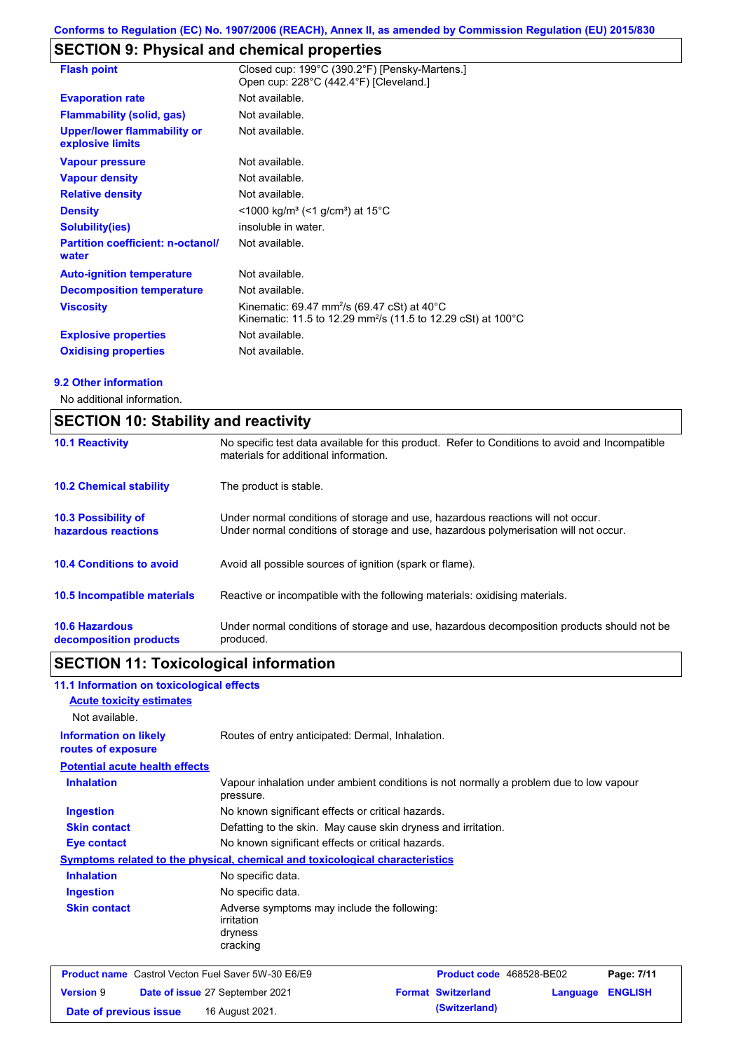# **SECTION 9: Physical and chemical properties**

| <b>Flash point</b>                                     | Closed cup: 199°C (390.2°F) [Pensky-Martens.]<br>Open cup: 228°C (442.4°F) [Cleveland.]                                                                     |
|--------------------------------------------------------|-------------------------------------------------------------------------------------------------------------------------------------------------------------|
| <b>Evaporation rate</b>                                | Not available.                                                                                                                                              |
| <b>Flammability (solid, gas)</b>                       | Not available.                                                                                                                                              |
| <b>Upper/lower flammability or</b><br>explosive limits | Not available.                                                                                                                                              |
| <b>Vapour pressure</b>                                 | Not available.                                                                                                                                              |
| <b>Vapour density</b>                                  | Not available.                                                                                                                                              |
| <b>Relative density</b>                                | Not available.                                                                                                                                              |
| <b>Density</b>                                         | <1000 kg/m <sup>3</sup> (<1 g/cm <sup>3</sup> ) at 15 <sup>°</sup> C                                                                                        |
| Solubility(ies)                                        | insoluble in water.                                                                                                                                         |
| <b>Partition coefficient: n-octanol/</b><br>water      | Not available.                                                                                                                                              |
| <b>Auto-ignition temperature</b>                       | Not available.                                                                                                                                              |
| <b>Decomposition temperature</b>                       | Not available.                                                                                                                                              |
| <b>Viscosity</b>                                       | Kinematic: 69.47 mm <sup>2</sup> /s (69.47 cSt) at 40 $^{\circ}$ C<br>Kinematic: 11.5 to 12.29 mm <sup>2</sup> /s (11.5 to 12.29 cSt) at 100 <sup>°</sup> C |
| <b>Explosive properties</b>                            | Not available.                                                                                                                                              |
| <b>Oxidising properties</b>                            | Not available.                                                                                                                                              |

### **9.2 Other information**

No additional information.

| <b>SECTION 10: Stability and reactivity</b>     |                                                                                                                                                                         |  |  |
|-------------------------------------------------|-------------------------------------------------------------------------------------------------------------------------------------------------------------------------|--|--|
| <b>10.1 Reactivity</b>                          | No specific test data available for this product. Refer to Conditions to avoid and Incompatible<br>materials for additional information.                                |  |  |
| <b>10.2 Chemical stability</b>                  | The product is stable.                                                                                                                                                  |  |  |
| 10.3 Possibility of<br>hazardous reactions      | Under normal conditions of storage and use, hazardous reactions will not occur.<br>Under normal conditions of storage and use, hazardous polymerisation will not occur. |  |  |
| <b>10.4 Conditions to avoid</b>                 | Avoid all possible sources of ignition (spark or flame).                                                                                                                |  |  |
| 10.5 Incompatible materials                     | Reactive or incompatible with the following materials: oxidising materials.                                                                                             |  |  |
| <b>10.6 Hazardous</b><br>decomposition products | Under normal conditions of storage and use, hazardous decomposition products should not be<br>produced.                                                                 |  |  |

# **SECTION 11: Toxicological information**

| 11.1 Information on toxicological effects                 |                                                                                                     |                           |          |                |
|-----------------------------------------------------------|-----------------------------------------------------------------------------------------------------|---------------------------|----------|----------------|
| <b>Acute toxicity estimates</b>                           |                                                                                                     |                           |          |                |
| Not available.                                            |                                                                                                     |                           |          |                |
| <b>Information on likely</b><br>routes of exposure        | Routes of entry anticipated: Dermal, Inhalation.                                                    |                           |          |                |
| <b>Potential acute health effects</b>                     |                                                                                                     |                           |          |                |
| <b>Inhalation</b>                                         | Vapour inhalation under ambient conditions is not normally a problem due to low vapour<br>pressure. |                           |          |                |
| <b>Ingestion</b>                                          | No known significant effects or critical hazards.                                                   |                           |          |                |
| <b>Skin contact</b>                                       | Defatting to the skin. May cause skin dryness and irritation.                                       |                           |          |                |
| <b>Eye contact</b>                                        | No known significant effects or critical hazards.                                                   |                           |          |                |
|                                                           | <b>Symptoms related to the physical, chemical and toxicological characteristics</b>                 |                           |          |                |
| <b>Inhalation</b>                                         | No specific data.                                                                                   |                           |          |                |
| <b>Ingestion</b>                                          | No specific data.                                                                                   |                           |          |                |
| <b>Skin contact</b>                                       | Adverse symptoms may include the following:<br>irritation<br>dryness<br>cracking                    |                           |          |                |
| <b>Product name</b> Castrol Vecton Fuel Saver 5W-30 E6/E9 |                                                                                                     | Product code 468528-BE02  |          | Page: 7/11     |
| <b>Version 9</b>                                          | Date of issue 27 September 2021                                                                     | <b>Format Switzerland</b> | Language | <b>ENGLISH</b> |
| Date of previous issue                                    | 16 August 2021.                                                                                     | (Switzerland)             |          |                |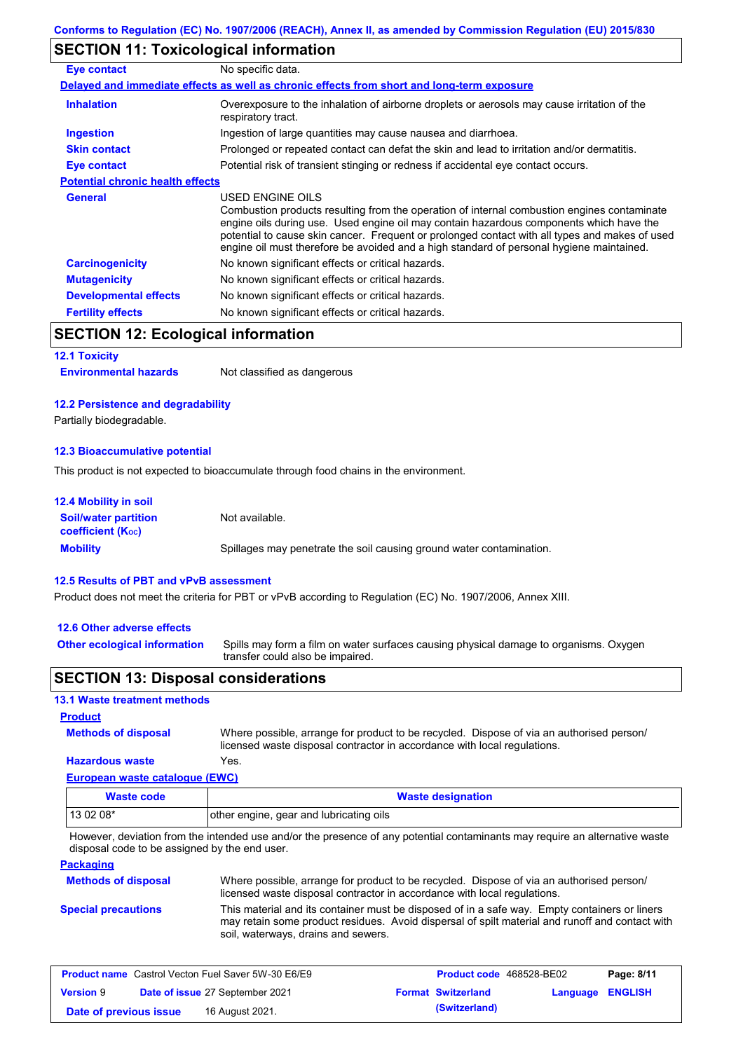# **SECTION 11: Toxicological information**

| Eye contact                             | No specific data.                                                                                                                                                                                                                                                                                                                                                                                        |
|-----------------------------------------|----------------------------------------------------------------------------------------------------------------------------------------------------------------------------------------------------------------------------------------------------------------------------------------------------------------------------------------------------------------------------------------------------------|
|                                         | Delayed and immediate effects as well as chronic effects from short and long-term exposure                                                                                                                                                                                                                                                                                                               |
| <b>Inhalation</b>                       | Overexposure to the inhalation of airborne droplets or aerosols may cause irritation of the<br>respiratory tract.                                                                                                                                                                                                                                                                                        |
| <b>Ingestion</b>                        | Ingestion of large quantities may cause nausea and diarrhoea.                                                                                                                                                                                                                                                                                                                                            |
| <b>Skin contact</b>                     | Prolonged or repeated contact can defat the skin and lead to irritation and/or dermatitis.                                                                                                                                                                                                                                                                                                               |
| Eye contact                             | Potential risk of transient stinging or redness if accidental eye contact occurs.                                                                                                                                                                                                                                                                                                                        |
| <b>Potential chronic health effects</b> |                                                                                                                                                                                                                                                                                                                                                                                                          |
| <b>General</b>                          | USED ENGINE OILS<br>Combustion products resulting from the operation of internal combustion engines contaminate<br>engine oils during use. Used engine oil may contain hazardous components which have the<br>potential to cause skin cancer. Frequent or prolonged contact with all types and makes of used<br>engine oil must therefore be avoided and a high standard of personal hygiene maintained. |
| <b>Carcinogenicity</b>                  | No known significant effects or critical hazards.                                                                                                                                                                                                                                                                                                                                                        |
| <b>Mutagenicity</b>                     | No known significant effects or critical hazards.                                                                                                                                                                                                                                                                                                                                                        |
| <b>Developmental effects</b>            | No known significant effects or critical hazards.                                                                                                                                                                                                                                                                                                                                                        |
| <b>Fertility effects</b>                | No known significant effects or critical hazards.                                                                                                                                                                                                                                                                                                                                                        |

# **SECTION 12: Ecological information**

#### **12.1 Toxicity**

### **12.2 Persistence and degradability**

Partially biodegradable.

#### **12.3 Bioaccumulative potential**

This product is not expected to bioaccumulate through food chains in the environment.

| <b>12.4 Mobility in soil</b>                                  |                                                                      |
|---------------------------------------------------------------|----------------------------------------------------------------------|
| <b>Soil/water partition</b><br>coefficient (K <sub>oc</sub> ) | Not available.                                                       |
| <b>Mobility</b>                                               | Spillages may penetrate the soil causing ground water contamination. |

#### **12.5 Results of PBT and vPvB assessment**

Product does not meet the criteria for PBT or vPvB according to Regulation (EC) No. 1907/2006, Annex XIII.

#### **12.6 Other adverse effects**

**Other ecological information**

**Methods of disposal**

Spills may form a film on water surfaces causing physical damage to organisms. Oxygen transfer could also be impaired.

### **SECTION 13: Disposal considerations**

### **13.1 Waste treatment methods**

### **Product**

**Hazardous waste** Yes. Where possible, arrange for product to be recycled. Dispose of via an authorised person/ licensed waste disposal contractor in accordance with local regulations.

### **European waste catalogue (EWC)**

| Waste code | <b>Waste designation</b>                |
|------------|-----------------------------------------|
| 13 02 08*  | other engine, gear and lubricating oils |

However, deviation from the intended use and/or the presence of any potential contaminants may require an alternative waste disposal code to be assigned by the end user.

### **Packaging**

| <b>Methods of disposal</b> | Where possible, arrange for product to be recycled. Dispose of via an authorised person/<br>licensed waste disposal contractor in accordance with local regulations.                                                                    |
|----------------------------|-----------------------------------------------------------------------------------------------------------------------------------------------------------------------------------------------------------------------------------------|
| <b>Special precautions</b> | This material and its container must be disposed of in a safe way. Empty containers or liners<br>may retain some product residues. Avoid dispersal of spilt material and runoff and contact with<br>soil, waterways, drains and sewers. |

| <b>Product name</b> Castrol Vecton Fuel Saver 5W-30 E6/E9 |  | <b>Product code</b> 468528-BE02 |  | Page: 8/11                |                         |  |
|-----------------------------------------------------------|--|---------------------------------|--|---------------------------|-------------------------|--|
| <b>Version 9</b>                                          |  | Date of issue 27 September 2021 |  | <b>Format Switzerland</b> | <b>Language ENGLISH</b> |  |
| Date of previous issue                                    |  | 16 August 2021.                 |  | (Switzerland)             |                         |  |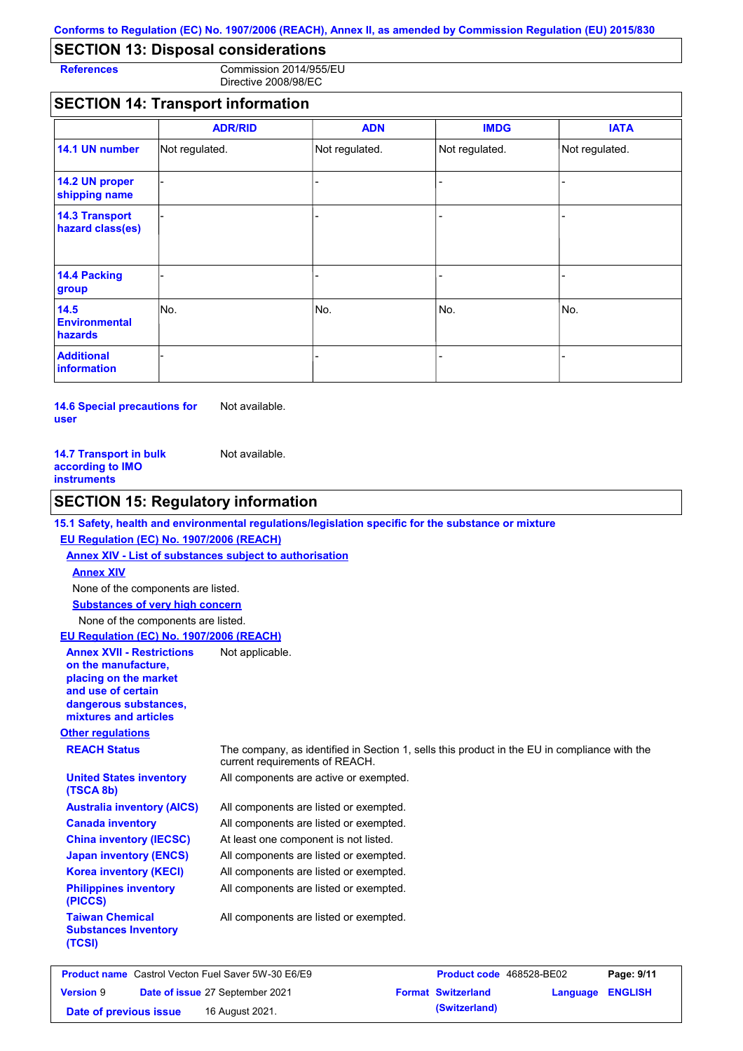# **SECTION 13: Disposal considerations**

**References** Commission 2014/955/EU Directive 2008/98/EC

# **SECTION 14: Transport information**

|                                           | <b>ADR/RID</b> | <b>ADN</b>     | <b>IMDG</b>    | <b>IATA</b>    |
|-------------------------------------------|----------------|----------------|----------------|----------------|
| 14.1 UN number                            | Not regulated. | Not regulated. | Not regulated. | Not regulated. |
| 14.2 UN proper<br>shipping name           |                |                |                |                |
| <b>14.3 Transport</b><br>hazard class(es) |                |                | ÷              |                |
| 14.4 Packing<br>group                     |                |                |                |                |
| 14.5<br><b>Environmental</b><br>hazards   | No.            | No.            | No.            | INo.           |
| <b>Additional</b><br><b>information</b>   |                |                |                |                |

**14.6 Special precautions for user** Not available.

| <b>14.7 Transport in bulk</b> | Not available. |
|-------------------------------|----------------|
| according to IMO              |                |
| instruments                   |                |

### **SECTION 15: Regulatory information**

### **15.1 Safety, health and environmental regulations/legislation specific for the substance or mixture**

### **EU Regulation (EC) No. 1907/2006 (REACH)**

**Annex XIV - List of substances subject to authorisation Substances of very high concern** None of the components are listed. None of the components are listed. **Annex XIV**

### **EU Regulation (EC) No. 1907/2006 (REACH)**

| <b>Annex XVII - Restrictions</b><br>on the manufacture.<br>placing on the market<br>and use of certain<br>dangerous substances,<br>mixtures and articles | Not applicable.                                                                                                                |
|----------------------------------------------------------------------------------------------------------------------------------------------------------|--------------------------------------------------------------------------------------------------------------------------------|
| <b>Other regulations</b>                                                                                                                                 |                                                                                                                                |
| <b>REACH Status</b>                                                                                                                                      | The company, as identified in Section 1, sells this product in the EU in compliance with the<br>current requirements of REACH. |
| <b>United States inventory</b><br>(TSCA 8b)                                                                                                              | All components are active or exempted.                                                                                         |
| <b>Australia inventory (AICS)</b>                                                                                                                        | All components are listed or exempted.                                                                                         |
| <b>Canada inventory</b>                                                                                                                                  | All components are listed or exempted.                                                                                         |
| <b>China inventory (IECSC)</b>                                                                                                                           | At least one component is not listed.                                                                                          |
| <b>Japan inventory (ENCS)</b>                                                                                                                            | All components are listed or exempted.                                                                                         |
| <b>Korea inventory (KECI)</b>                                                                                                                            | All components are listed or exempted.                                                                                         |
| <b>Philippines inventory</b><br>(PICCS)                                                                                                                  | All components are listed or exempted.                                                                                         |
| <b>Taiwan Chemical</b><br><b>Substances Inventory</b><br>(TCSI)                                                                                          | All components are listed or exempted.                                                                                         |

| <b>Product name</b> Castrol Vecton Fuel Saver 5W-30 E6/E9 |  |                                 | <b>Product code</b> 468528-BE02 |          | Page: 9/11     |
|-----------------------------------------------------------|--|---------------------------------|---------------------------------|----------|----------------|
| <b>Version 9</b>                                          |  | Date of issue 27 September 2021 | <b>Format Switzerland</b>       | Language | <b>ENGLISH</b> |
| Date of previous issue                                    |  | 16 August 2021.                 | (Switzerland)                   |          |                |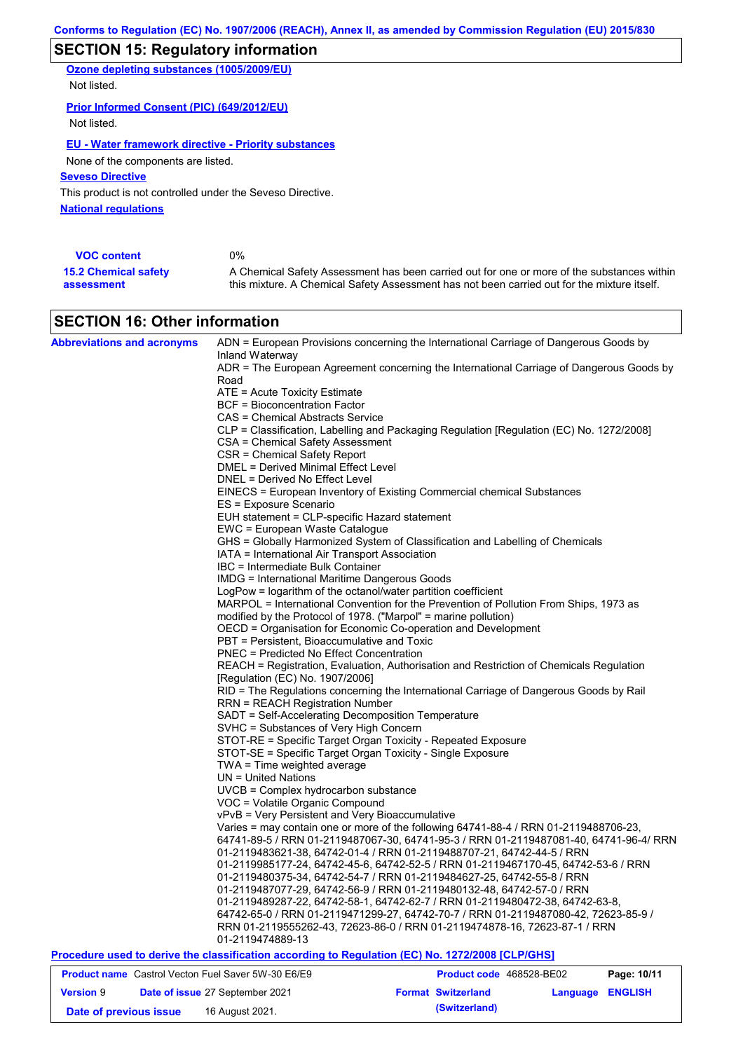# **SECTION 15: Regulatory information**

**Ozone depleting substances (1005/2009/EU)** Not listed.

### **Prior Informed Consent (PIC) (649/2012/EU)**

Not listed.

### **EU - Water framework directive - Priority substances**

None of the components are listed.

**Seveso Directive**

**National regulations** This product is not controlled under the Seveso Directive.

| <b>VOC content</b>          | 0%                                                                                          |
|-----------------------------|---------------------------------------------------------------------------------------------|
| <b>15.2 Chemical safety</b> | A Chemical Safety Assessment has been carried out for one or more of the substances within  |
| assessment                  | this mixture. A Chemical Safety Assessment has not been carried out for the mixture itself. |

# **SECTION 16: Other information**

| <b>Abbreviations and acronyms</b> | ADN = European Provisions concerning the International Carriage of Dangerous Goods by                                        |                           |                  |             |
|-----------------------------------|------------------------------------------------------------------------------------------------------------------------------|---------------------------|------------------|-------------|
|                                   | Inland Waterway                                                                                                              |                           |                  |             |
|                                   | ADR = The European Agreement concerning the International Carriage of Dangerous Goods by                                     |                           |                  |             |
|                                   | Road                                                                                                                         |                           |                  |             |
|                                   | ATE = Acute Toxicity Estimate                                                                                                |                           |                  |             |
|                                   | <b>BCF = Bioconcentration Factor</b>                                                                                         |                           |                  |             |
|                                   | CAS = Chemical Abstracts Service                                                                                             |                           |                  |             |
|                                   | CLP = Classification, Labelling and Packaging Regulation [Regulation (EC) No. 1272/2008]<br>CSA = Chemical Safety Assessment |                           |                  |             |
|                                   | CSR = Chemical Safety Report                                                                                                 |                           |                  |             |
|                                   | <b>DMEL = Derived Minimal Effect Level</b>                                                                                   |                           |                  |             |
|                                   | DNEL = Derived No Effect Level                                                                                               |                           |                  |             |
|                                   | EINECS = European Inventory of Existing Commercial chemical Substances                                                       |                           |                  |             |
|                                   | ES = Exposure Scenario                                                                                                       |                           |                  |             |
|                                   | EUH statement = CLP-specific Hazard statement                                                                                |                           |                  |             |
|                                   | EWC = European Waste Catalogue                                                                                               |                           |                  |             |
|                                   | GHS = Globally Harmonized System of Classification and Labelling of Chemicals                                                |                           |                  |             |
|                                   | IATA = International Air Transport Association                                                                               |                           |                  |             |
|                                   | IBC = Intermediate Bulk Container                                                                                            |                           |                  |             |
|                                   | <b>IMDG = International Maritime Dangerous Goods</b>                                                                         |                           |                  |             |
|                                   | LogPow = logarithm of the octanol/water partition coefficient                                                                |                           |                  |             |
|                                   | MARPOL = International Convention for the Prevention of Pollution From Ships, 1973 as                                        |                           |                  |             |
|                                   | modified by the Protocol of 1978. ("Marpol" = marine pollution)                                                              |                           |                  |             |
|                                   | OECD = Organisation for Economic Co-operation and Development                                                                |                           |                  |             |
|                                   | PBT = Persistent, Bioaccumulative and Toxic                                                                                  |                           |                  |             |
|                                   | <b>PNEC = Predicted No Effect Concentration</b>                                                                              |                           |                  |             |
|                                   | REACH = Registration, Evaluation, Authorisation and Restriction of Chemicals Regulation                                      |                           |                  |             |
|                                   | [Regulation (EC) No. 1907/2006]                                                                                              |                           |                  |             |
|                                   | RID = The Regulations concerning the International Carriage of Dangerous Goods by Rail                                       |                           |                  |             |
|                                   | <b>RRN = REACH Registration Number</b>                                                                                       |                           |                  |             |
|                                   | SADT = Self-Accelerating Decomposition Temperature                                                                           |                           |                  |             |
|                                   | SVHC = Substances of Very High Concern                                                                                       |                           |                  |             |
|                                   | STOT-RE = Specific Target Organ Toxicity - Repeated Exposure                                                                 |                           |                  |             |
|                                   | STOT-SE = Specific Target Organ Toxicity - Single Exposure                                                                   |                           |                  |             |
|                                   | TWA = Time weighted average                                                                                                  |                           |                  |             |
|                                   | $UN = United Nations$                                                                                                        |                           |                  |             |
|                                   | UVCB = Complex hydrocarbon substance                                                                                         |                           |                  |             |
|                                   | VOC = Volatile Organic Compound                                                                                              |                           |                  |             |
|                                   | vPvB = Very Persistent and Very Bioaccumulative                                                                              |                           |                  |             |
|                                   | Varies = may contain one or more of the following 64741-88-4 / RRN 01-2119488706-23,                                         |                           |                  |             |
|                                   | 64741-89-5 / RRN 01-2119487067-30, 64741-95-3 / RRN 01-2119487081-40, 64741-96-4/ RRN                                        |                           |                  |             |
|                                   | 01-2119483621-38, 64742-01-4 / RRN 01-2119488707-21, 64742-44-5 / RRN                                                        |                           |                  |             |
|                                   | 01-2119985177-24, 64742-45-6, 64742-52-5 / RRN 01-2119467170-45, 64742-53-6 / RRN                                            |                           |                  |             |
|                                   | 01-2119480375-34, 64742-54-7 / RRN 01-2119484627-25, 64742-55-8 / RRN                                                        |                           |                  |             |
|                                   | 01-2119487077-29, 64742-56-9 / RRN 01-2119480132-48, 64742-57-0 / RRN                                                        |                           |                  |             |
|                                   | 01-2119489287-22, 64742-58-1, 64742-62-7 / RRN 01-2119480472-38, 64742-63-8,                                                 |                           |                  |             |
|                                   | 64742-65-0 / RRN 01-2119471299-27, 64742-70-7 / RRN 01-2119487080-42, 72623-85-9 /                                           |                           |                  |             |
|                                   | RRN 01-2119555262-43, 72623-86-0 / RRN 01-2119474878-16, 72623-87-1 / RRN                                                    |                           |                  |             |
|                                   | 01-2119474889-13                                                                                                             |                           |                  |             |
|                                   | Procedure used to derive the classification according to Regulation (EC) No. 1272/2008 [CLP/GHS]                             |                           |                  |             |
|                                   | <b>Product name</b> Castrol Vecton Fuel Saver 5W-30 E6/E9                                                                    | Product code 468528-BE02  |                  | Page: 10/11 |
| <b>Version 9</b>                  | Date of issue 27 September 2021                                                                                              | <b>Format Switzerland</b> | Language ENGLISH |             |

**Date of previous issue 16 August 2021. (Switzerland) (Switzerland)**